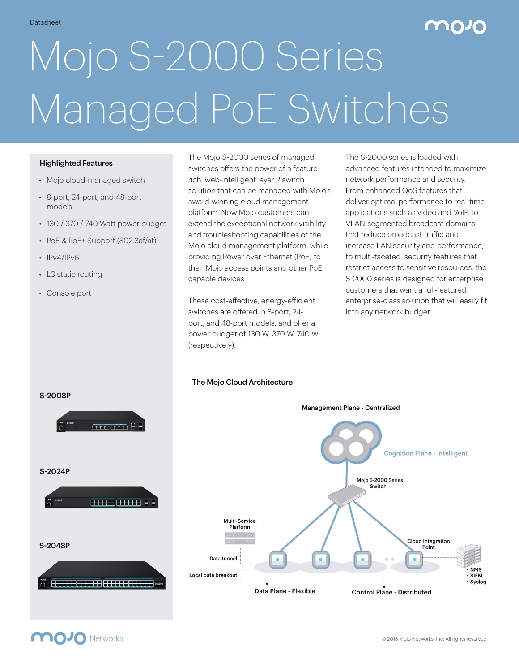# Datasheet **1989 - 1989 - 1989 - 1989 - 1989 - 1989 - 1989 - 1989 - 1989 - 1989 - 1989 - 1989 - 1989 - 1989 - 198**

# Mojo S-2000 Series Managed PoE Switches

#### Highlighted Features

- Mojo cloud-managed switch
- 8-port, 24-port, and 48-port models
- 130 / 370 / 740 Watt power budget
- PoE & PoE+ Support (802.3af/at)
- IPv4/IPv6
- L3 static routing
- Console port

The Mojo S-2000 series of managed switches offers the power of a featurerich, web-intelligent layer 2 switch solution that can be managed with Mojo's award-winning cloud management platform. Now Mojo customers can extend the exceptional network visibility and troubleshooting capabilities of the Mojo cloud management platform, while providing Power over Ethernet (PoE) to their Mojo access points and other PoE capable devices.

These cost-effective, energy-efficient switches are offered in 8-port, 24 port, and 48-port models, and offer a power budget of 130 W, 370 W, 740 W (respectively).

The Mojo Cloud Architecture

The S-2000 series is loaded with advanced features intended to maximize network performance and security. From enhanced QoS features that deliver optimal performance to real-time applications such as video and VoIP, to VLAN-segmented broadcast domains that reduce broadcast traffic and increase LAN security and performance, to multi-faceted security features that restrict access to sensitive resources, the S-2000 series is designed for enterprise customers that want a full-featured enterprise-class solution that will easily fit into any network budget.





## **MOJO** Networks

**NMS** 

**SIEM** Syslog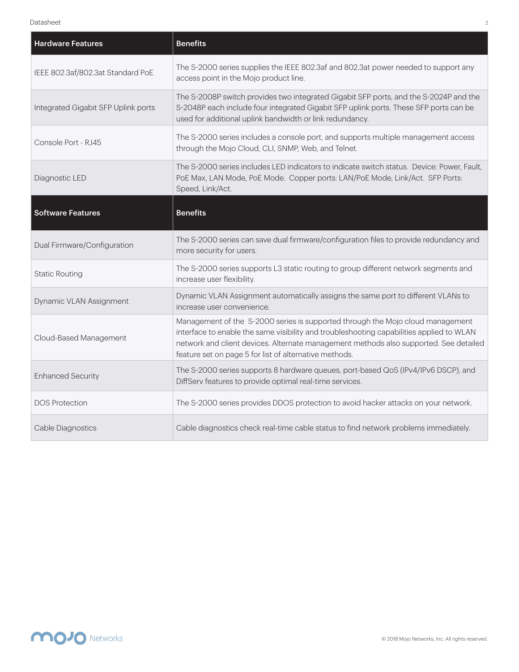| <b>Hardware Features</b>            | <b>Benefits</b>                                                                                                                                                                                                                                                                                                               |
|-------------------------------------|-------------------------------------------------------------------------------------------------------------------------------------------------------------------------------------------------------------------------------------------------------------------------------------------------------------------------------|
| IEEE 802.3af/802.3at Standard PoE   | The S-2000 series supplies the IEEE 802.3af and 802.3at power needed to support any<br>access point in the Mojo product line.                                                                                                                                                                                                 |
| Integrated Gigabit SFP Uplink ports | The S-2008P switch provides two integrated Gigabit SFP ports, and the S-2024P and the<br>S-2048P each include four integrated Gigabit SFP uplink ports. These SFP ports can be<br>used for additional uplink bandwidth or link redundancy.                                                                                    |
| Console Port - RJ45                 | The S-2000 series includes a console port, and supports multiple management access<br>through the Mojo Cloud, CLI, SNMP, Web, and Telnet.                                                                                                                                                                                     |
| Diagnostic LED                      | The S-2000 series includes LED indicators to indicate switch status. Device: Power, Fault,<br>PoE Max, LAN Mode, PoE Mode. Copper ports: LAN/PoE Mode, Link/Act. SFP Ports:<br>Speed, Link/Act.                                                                                                                               |
| <b>Software Features</b>            | <b>Benefits</b>                                                                                                                                                                                                                                                                                                               |
| Dual Firmware/Configuration         | The S-2000 series can save dual firmware/configuration files to provide redundancy and<br>more security for users.                                                                                                                                                                                                            |
| <b>Static Routing</b>               | The S-2000 series supports L3 static routing to group different network segments and<br>increase user flexibility.                                                                                                                                                                                                            |
| Dynamic VLAN Assignment             | Dynamic VLAN Assignment automatically assigns the same port to different VLANs to<br>increase user convenience.                                                                                                                                                                                                               |
| Cloud-Based Management              | Management of the S-2000 series is supported through the Mojo cloud management<br>interface to enable the same visibility and troubleshooting capabilities applied to WLAN<br>network and client devices. Alternate management methods also supported. See detailed<br>feature set on page 5 for list of alternative methods. |
| <b>Enhanced Security</b>            | The S-2000 series supports 8 hardware queues, port-based QoS (IPv4/IPv6 DSCP), and<br>DiffServ features to provide optimal real-time services.                                                                                                                                                                                |
| <b>DOS Protection</b>               | The S-2000 series provides DDOS protection to avoid hacker attacks on your network.                                                                                                                                                                                                                                           |
| Cable Diagnostics                   | Cable diagnostics check real-time cable status to find network problems immediately.                                                                                                                                                                                                                                          |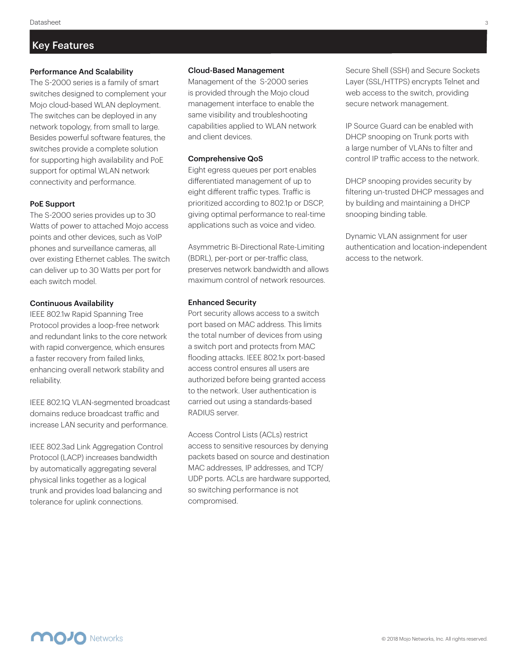### Key Features

#### Performance And Scalability

The S-2000 series is a family of smart switches designed to complement your Mojo cloud-based WLAN deployment. The switches can be deployed in any network topology, from small to large. Besides powerful software features, the switches provide a complete solution for supporting high availability and PoE support for optimal WLAN network connectivity and performance.

#### PoE Support

The S-2000 series provides up to 30 Watts of power to attached Mojo access points and other devices, such as VoIP phones and surveillance cameras, all over existing Ethernet cables. The switch can deliver up to 30 Watts per port for each switch model.

#### Continuous Availability

IEEE 802.1w Rapid Spanning Tree Protocol provides a loop-free network and redundant links to the core network with rapid convergence, which ensures a faster recovery from failed links, enhancing overall network stability and reliability.

IEEE 802.1Q VLAN-segmented broadcast domains reduce broadcast traffic and increase LAN security and performance.

IEEE 802.3ad Link Aggregation Control Protocol (LACP) increases bandwidth by automatically aggregating several physical links together as a logical trunk and provides load balancing and tolerance for uplink connections.

#### Cloud-Based Management

Management of the S-2000 series is provided through the Mojo cloud management interface to enable the same visibility and troubleshooting capabilities applied to WLAN network and client devices.

#### Comprehensive QoS

Eight egress queues per port enables differentiated management of up to eight different traffic types. Traffic is prioritized according to 802.1p or DSCP, giving optimal performance to real-time applications such as voice and video.

Asymmetric Bi-Directional Rate-Limiting (BDRL), per-port or per-traffic class, preserves network bandwidth and allows maximum control of network resources.

#### Enhanced Security

Port security allows access to a switch port based on MAC address. This limits the total number of devices from using a switch port and protects from MAC flooding attacks. IEEE 802.1x port-based access control ensures all users are authorized before being granted access to the network. User authentication is carried out using a standards-based RADIUS server.

Access Control Lists (ACLs) restrict access to sensitive resources by denying packets based on source and destination MAC addresses, IP addresses, and TCP/ UDP ports. ACLs are hardware supported, so switching performance is not compromised.

Secure Shell (SSH) and Secure Sockets Layer (SSL/HTTPS) encrypts Telnet and web access to the switch, providing secure network management.

IP Source Guard can be enabled with DHCP snooping on Trunk ports with a large number of VLANs to filter and control IP traffic access to the network.

DHCP snooping provides security by filtering un-trusted DHCP messages and by building and maintaining a DHCP snooping binding table.

Dynamic VLAN assignment for user authentication and location-independent access to the network.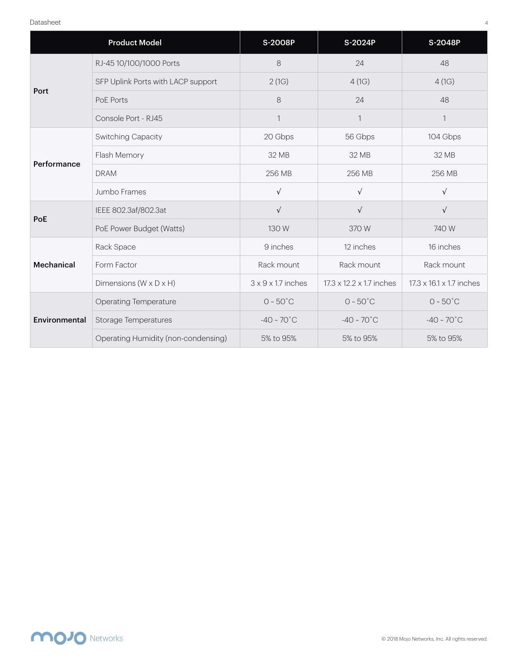|               | <b>Product Model</b>                 | S-2008P                        | S-2024P                  | S-2048P                  |
|---------------|--------------------------------------|--------------------------------|--------------------------|--------------------------|
| Port          | RJ-45 10/100/1000 Ports              | 8                              | 24                       | 48                       |
|               | SFP Uplink Ports with LACP support   | 2(1G)                          | 4(1G)                    | 4(1G)                    |
|               | PoE Ports                            | 8                              | 24                       | 48                       |
|               | Console Port - RJ45                  | $\mathbf{1}$                   | $\mathbf 1$              | 1                        |
| Performance   | <b>Switching Capacity</b>            | 20 Gbps                        | 56 Gbps                  | 104 Gbps                 |
|               | Flash Memory                         | 32 MB                          | 32 MB                    | 32 MB                    |
|               | <b>DRAM</b>                          | 256 MB                         | 256 MB                   | 256 MB                   |
|               | Jumbo Frames                         | $\sqrt{ }$                     | $\sqrt{ }$               | $\sqrt{ }$               |
| PoE           | IEEE 802.3af/802.3at                 | $\sqrt{ }$                     | $\sqrt{ }$               | $\sqrt{ }$               |
|               | PoE Power Budget (Watts)             | 130 W                          | 370 W                    | 740 W                    |
| Mechanical    | Rack Space                           | 9 inches                       | 12 inches                | 16 inches                |
|               | Form Factor                          | Rack mount                     | Rack mount               | Rack mount               |
|               | Dimensions ( $W \times D \times H$ ) | $3 \times 9 \times 1.7$ inches | 17.3 x 12.2 x 1.7 inches | 17.3 x 16.1 x 1.7 inches |
| Environmental | <b>Operating Temperature</b>         | $0 - 50^{\circ}$ C             | $0 - 50^{\circ}$ C       | $0 - 50^{\circ}$ C       |
|               | <b>Storage Temperatures</b>          | $-40 \sim 70^{\circ}$ C        | $-40 \sim 70^{\circ}$ C  | $-40 \sim 70^{\circ}$ C  |
|               | Operating Humidity (non-condensing)  | 5% to 95%                      | 5% to 95%                | 5% to 95%                |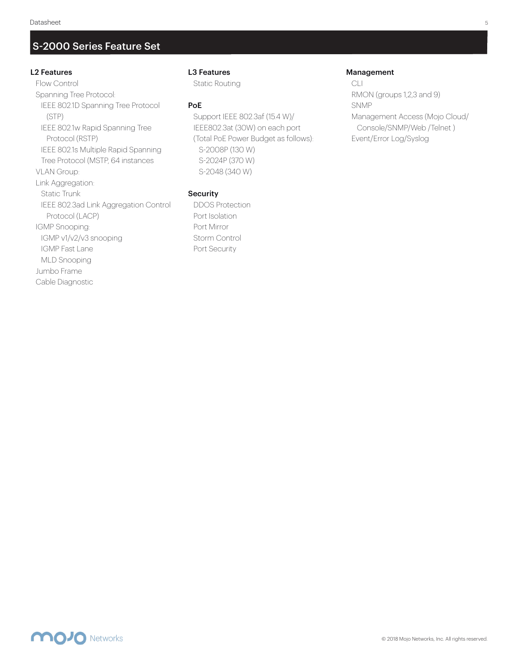## S-2000 Series Feature Set

#### L2 Features

 Flow Control Spanning Tree Protocol: IEEE 802.1D Spanning Tree Protocol (STP) IEEE 802.1w Rapid Spanning Tree Protocol (RSTP) IEEE 802.1s Multiple Rapid Spanning Tree Protocol (MSTP, 64 instances VLAN Group: Link Aggregation: Static Trunk IEEE 802.3ad Link Aggregation Control Protocol (LACP) IGMP Snooping: IGMP v1/v2/v3 snooping IGMP Fast Lane MLD Snooping Jumbo Frame Cable Diagnostic

#### L3 Features

Static Routing

#### PoE

 Support IEEE 802.3af (15.4 W)/ IEEE802.3at (30W) on each port (Total PoE Power Budget as follows): S-2008P (130 W) S-2024P (370 W) S-2048 (340 W)

#### **Security**

 DDOS Protection Port Isolation Port Mirror Storm Control Port Security

#### Management

 CLI RMON (groups 1,2,3 and 9) SNMP Management Access (Mojo Cloud/ Console/SNMP/Web /Telnet ) Event/Error Log/Syslog